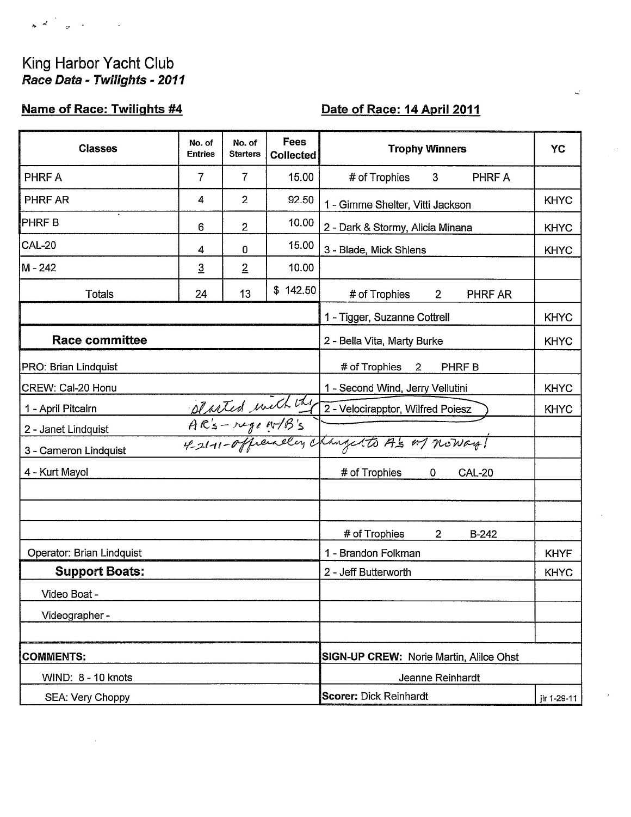# King Harbor Yacht Club Race Data - Twilights - 2011

### **Name of Race: Twilights #4**

## Date of Race: 14 April 2011

| <b>Classes</b>            | No. of<br><b>Entries</b> | No. of<br><b>Starters</b> | Fees<br><b>Collected</b>            | <b>Trophy Winners</b>                                                   | YC          |  |
|---------------------------|--------------------------|---------------------------|-------------------------------------|-------------------------------------------------------------------------|-------------|--|
| PHRF A                    | $\overline{7}$           | 7                         | 15.00                               | # of Trophies<br>PHRF A<br>3                                            |             |  |
| <b>PHRF AR</b>            | 4                        | $\overline{2}$            | 92.50                               | 1 - Gimme Shelter, Vitti Jackson                                        | <b>KHYC</b> |  |
| <b>PHRFB</b>              | 6                        | $\overline{2}$            | 10.00                               | 2 - Dark & Stormy, Alicia Minana                                        | <b>KHYC</b> |  |
| <b>CAL-20</b>             | 4                        | 0                         | 15.00                               | 3 - Blade, Mick Shlens                                                  | <b>KHYC</b> |  |
| M-242                     | $\overline{3}$           | $\overline{2}$            | 10.00                               |                                                                         |             |  |
| <b>Totals</b>             | 24                       | 13                        | \$142.50                            | # of Trophies<br>$2^{\circ}$<br>PHRF AR                                 |             |  |
|                           |                          |                           |                                     | 1 - Tigger, Suzanne Cottrell                                            | <b>KHYC</b> |  |
| <b>Race committee</b>     |                          |                           |                                     | 2 - Bella Vita, Marty Burke                                             | <b>KHYC</b> |  |
| PRO: Brian Lindquist      |                          |                           |                                     | # of Trophies<br>$\overline{2}$<br>PHRF B                               |             |  |
| CREW: Cal-20 Honu         |                          |                           |                                     | 1 - Second Wind, Jerry Vellutini                                        | <b>KHYC</b> |  |
| 1 - April Pitcairn        |                          |                           |                                     | Blasted with the 2-Velocitapptor, Wilfred Poiesz<br>A.C.'s - regent B's | <b>KHYC</b> |  |
| 2 - Janet Lindquist       |                          |                           |                                     |                                                                         |             |  |
| 3 - Cameron Lindquist     |                          |                           |                                     |                                                                         |             |  |
| 4 - Kurt Mayol            |                          |                           | # of Trophies<br><b>CAL-20</b><br>0 |                                                                         |             |  |
|                           |                          |                           |                                     |                                                                         |             |  |
|                           |                          |                           |                                     |                                                                         |             |  |
|                           |                          |                           |                                     | # of Trophies<br>$\overline{2}$<br>$B-242$                              |             |  |
| Operator: Brian Lindquist |                          |                           | 1 - Brandon Folkman                 | <b>KHYF</b>                                                             |             |  |
| <b>Support Boats:</b>     |                          |                           |                                     | 2 - Jeff Butterworth                                                    | <b>KHYC</b> |  |
| Video Boat -              |                          |                           |                                     |                                                                         |             |  |
| Videographer -            |                          |                           |                                     |                                                                         |             |  |
|                           |                          |                           |                                     |                                                                         |             |  |
| <b>COMMENTS:</b>          |                          |                           |                                     | <b>SIGN-UP CREW: Norie Martin, Alilce Ohst</b>                          |             |  |
| WIND: 8 - 10 knots        |                          |                           |                                     | Jeanne Reinhardt                                                        |             |  |
| SEA: Very Choppy          |                          |                           |                                     | <b>Scorer: Dick Reinhardt</b>                                           | jlr 1-29-11 |  |

 $\overline{\phantom{a}}$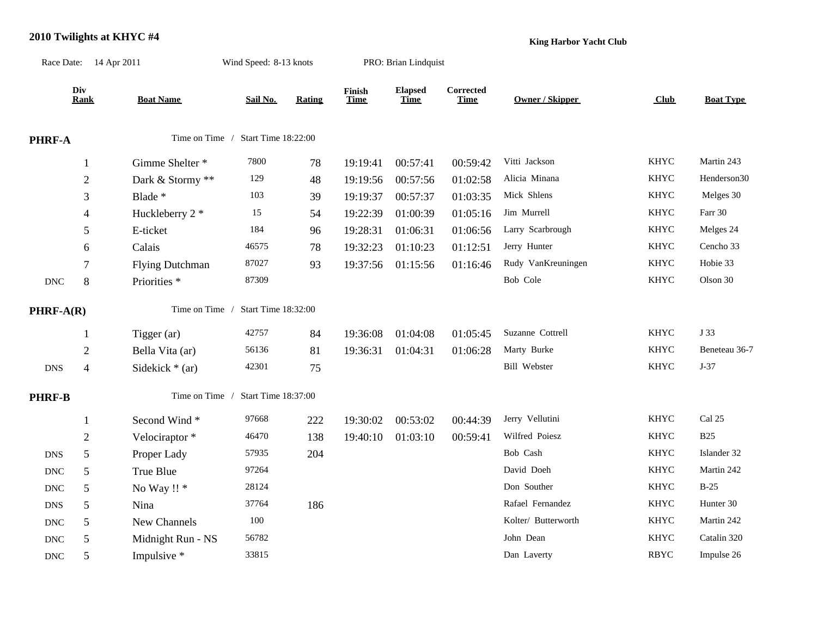#### **2010 Twilights at KHYC #4**

**King Harbor Yacht Club**

|                           | Race Date: 14 Apr 2011 |                        | Wind Speed: 8-13 knots |               |                       | PRO: Brian Lindquist          |                                 |                     |             |                  |
|---------------------------|------------------------|------------------------|------------------------|---------------|-----------------------|-------------------------------|---------------------------------|---------------------|-------------|------------------|
|                           | Div<br><b>Rank</b>     | <b>Boat Name</b>       | Sail No.               | <b>Rating</b> | Finish<br><b>Time</b> | <b>Elapsed</b><br><b>Time</b> | <b>Corrected</b><br><b>Time</b> | Owner / Skipper     | Club        | <b>Boat Type</b> |
| PHRF-A                    |                        | Time on Time /         | Start Time 18:22:00    |               |                       |                               |                                 |                     |             |                  |
|                           | $\mathbf{1}$           | Gimme Shelter *        | 7800                   | 78            | 19:19:41              | 00:57:41                      | 00:59:42                        | Vitti Jackson       | <b>KHYC</b> | Martin 243       |
|                           | $\overline{2}$         | Dark & Stormy **       | 129                    | 48            | 19:19:56              | 00:57:56                      | 01:02:58                        | Alicia Minana       | <b>KHYC</b> | Henderson30      |
|                           | 3                      | Blade *                | 103                    | 39            | 19:19:37              | 00:57:37                      | 01:03:35                        | Mick Shlens         | <b>KHYC</b> | Melges 30        |
|                           | 4                      | Huckleberry 2 *        | 15                     | 54            | 19:22:39              | 01:00:39                      | 01:05:16                        | Jim Murrell         | <b>KHYC</b> | Farr 30          |
|                           | 5                      | E-ticket               | 184                    | 96            | 19:28:31              | 01:06:31                      | 01:06:56                        | Larry Scarbrough    | <b>KHYC</b> | Melges 24        |
|                           | 6                      | Calais                 | 46575                  | 78            | 19:32:23              | 01:10:23                      | 01:12:51                        | Jerry Hunter        | <b>KHYC</b> | Cencho 33        |
|                           | $\tau$                 | <b>Flying Dutchman</b> | 87027                  | 93            | 19:37:56              | 01:15:56                      | 01:16:46                        | Rudy VanKreuningen  | <b>KHYC</b> | Hobie 33         |
| $\operatorname{DNC}$      | 8                      | Priorities *           | 87309                  |               |                       |                               |                                 | Bob Cole            | <b>KHYC</b> | Olson 30         |
| $PHRF-A(R)$               |                        | Time on Time /         | Start Time 18:32:00    |               |                       |                               |                                 |                     |             |                  |
|                           | 1                      | Tigger (ar)            | 42757                  | 84            | 19:36:08              | 01:04:08                      | 01:05:45                        | Suzanne Cottrell    | <b>KHYC</b> | J 33             |
|                           | $\overline{2}$         | Bella Vita (ar)        | 56136                  | 81            | 19:36:31              | 01:04:31                      | 01:06:28                        | Marty Burke         | <b>KHYC</b> | Beneteau 36-7    |
| <b>DNS</b>                | $\overline{4}$         | Sidekick $*$ (ar)      | 42301                  | 75            |                       |                               |                                 | <b>Bill Webster</b> | <b>KHYC</b> | $J-37$           |
| <b>PHRF-B</b>             |                        | Time on Time /         | Start Time 18:37:00    |               |                       |                               |                                 |                     |             |                  |
|                           | $\mathbf{1}$           | Second Wind*           | 97668                  | 222           | 19:30:02              | 00:53:02                      | 00:44:39                        | Jerry Vellutini     | <b>KHYC</b> | Cal 25           |
|                           | $\overline{2}$         | Velociraptor*          | 46470                  | 138           | 19:40:10              | 01:03:10                      | 00:59:41                        | Wilfred Poiesz      | <b>KHYC</b> | <b>B25</b>       |
| <b>DNS</b>                | 5                      | Proper Lady            | 57935                  | 204           |                       |                               |                                 | Bob Cash            | <b>KHYC</b> | Islander 32      |
| $\ensuremath{\text{DNC}}$ | 5                      | True Blue              | 97264                  |               |                       |                               |                                 | David Doeh          | <b>KHYC</b> | Martin 242       |
| $\operatorname{DNC}$      | 5                      | No Way !! *            | 28124                  |               |                       |                               |                                 | Don Souther         | <b>KHYC</b> | $B-25$           |
| <b>DNS</b>                | 5                      | Nina                   | 37764                  | 186           |                       |                               |                                 | Rafael Fernandez    | <b>KHYC</b> | Hunter 30        |
| $\operatorname{DNC}$      | 5                      | New Channels           | 100                    |               |                       |                               |                                 | Kolter/ Butterworth | <b>KHYC</b> | Martin 242       |
| $\operatorname{DNC}$      | 5                      | Midnight Run - NS      | 56782                  |               |                       |                               |                                 | John Dean           | <b>KHYC</b> | Catalin 320      |
| $\operatorname{DNC}$      | 5                      | Impulsive *            | 33815                  |               |                       |                               |                                 | Dan Laverty         | <b>RBYC</b> | Impulse 26       |
|                           |                        |                        |                        |               |                       |                               |                                 |                     |             |                  |